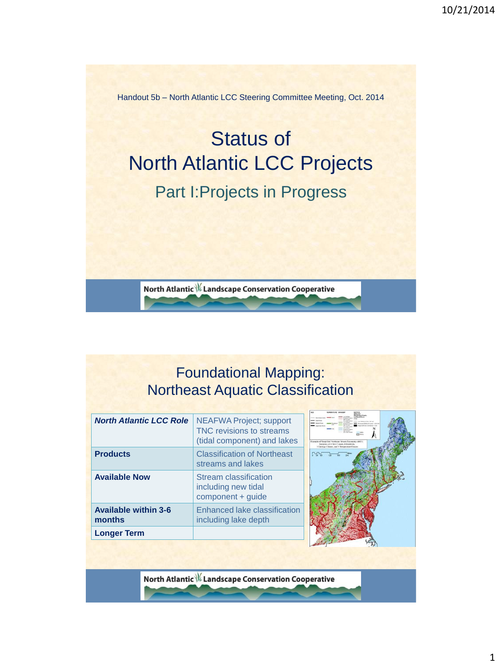Handout 5b – North Atlantic LCC Steering Committee Meeting, Oct. 2014

# Status of North Atlantic LCC Projects Part I:Projects in Progress

North Atlantic \// Landscape Conservation Cooperative

### Foundational Mapping: Northeast Aquatic Classification

| <b>North Atlantic LCC Role</b>        | <b>NEAFWA Project; support</b><br>TNC revisions to streams<br>(tidal component) and lakes | <b>County</b> <i><b>County</b></i><br><b>Continued</b><br>Example of Songlofed Northeast Stream Taxonomy (443)<br>Summary of 4 Size Classes, 4 Gradients.<br>3 Geology Classes, and 3 Temperature Classes |
|---------------------------------------|-------------------------------------------------------------------------------------------|-----------------------------------------------------------------------------------------------------------------------------------------------------------------------------------------------------------|
| <b>Products</b>                       | <b>Classification of Northeast</b><br>streams and lakes                                   | ᄓᇭ                                                                                                                                                                                                        |
| <b>Available Now</b>                  | Stream classification<br>including new tidal<br>component + quide                         |                                                                                                                                                                                                           |
| <b>Available within 3-6</b><br>months | Enhanced lake classification<br>including lake depth                                      |                                                                                                                                                                                                           |
| <b>Longer Term</b>                    |                                                                                           |                                                                                                                                                                                                           |

North Atlantic \\/ Landscape Conservation Cooperative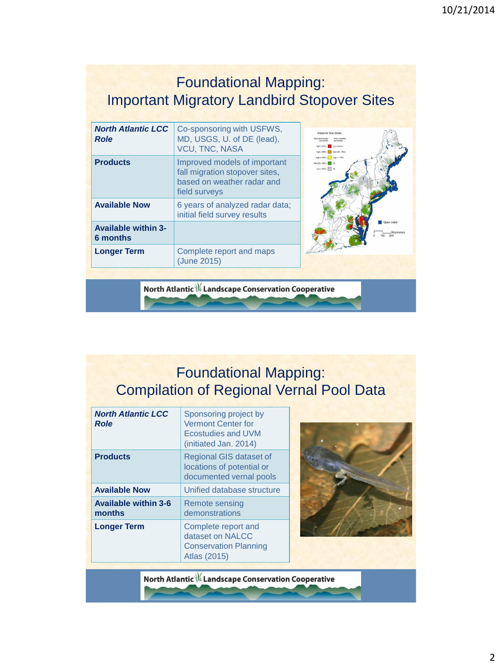#### Foundational Mapping: Important Migratory Landbird Stopover Sites

| <b>North Atlantic LCC</b><br><b>Role</b> | Co-sponsoring with USFWS,<br>MD, USGS, U. of DE (lead),<br><b>VCU, TNC, NASA</b>                              | Stopover Site Class<br>Low (<25%)<br>Med (25 - 75%)                 |
|------------------------------------------|---------------------------------------------------------------------------------------------------------------|---------------------------------------------------------------------|
| <b>Products</b>                          | Improved models of important<br>fall migration stopover sites,<br>based on weather radar and<br>field surveys | High (+ 85%)   High (+ 75%)<br>Med (50 - 85%) 48<br>Low(<50%)   All |
| <b>Available Now</b>                     | 6 years of analyzed radar data;<br>initial field survey results                                               |                                                                     |
| <b>Available within 3-</b><br>6 months   |                                                                                                               | Open water<br>100                                                   |
| <b>Longer Term</b>                       | Complete report and maps<br>(June 2015)                                                                       |                                                                     |
|                                          |                                                                                                               |                                                                     |

North Atlantic \\/ Landscape Conservation Cooperative

Foundational Mapping: Compilation of Regional Vernal Pool Data

| <b>North Atlantic LCC</b><br><b>Role</b> | Sponsoring project by<br><b>Vermont Center for</b><br>Ecostudies and UVM<br>(initiated Jan. 2014) |
|------------------------------------------|---------------------------------------------------------------------------------------------------|
| <b>Products</b>                          | Regional GIS dataset of<br>locations of potential or<br>documented vernal pools                   |
| <b>Available Now</b>                     | Unified database structure                                                                        |
| <b>Available within 3-6</b><br>months    | Remote sensing<br>demonstrations                                                                  |
| <b>Longer Term</b>                       | Complete report and<br>dataset on NALCC<br><b>Conservation Planning</b><br>Atlas (2015)           |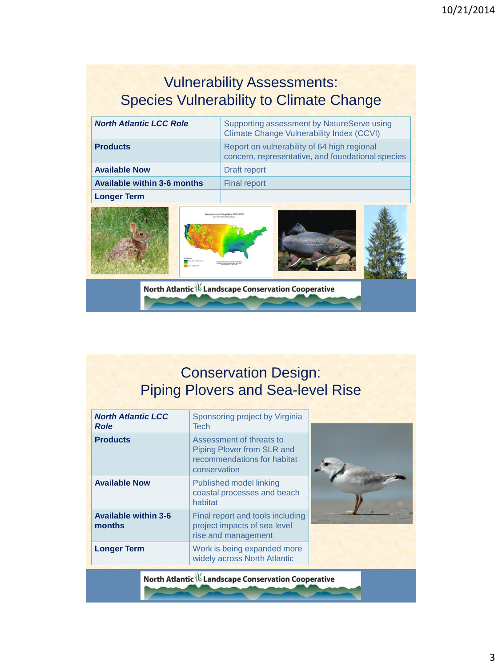# Vulnerability Assessments: Species Vulnerability to Climate Change

| <b>North Atlantic LCC Role</b>     |  | Supporting assessment by NatureServe using<br>Climate Change Vulnerability Index (CCVI)          |  |  |  |  |  |
|------------------------------------|--|--------------------------------------------------------------------------------------------------|--|--|--|--|--|
| <b>Products</b>                    |  | Report on vulnerability of 64 high regional<br>concern, representative, and foundational species |  |  |  |  |  |
| <b>Available Now</b>               |  | Draft report                                                                                     |  |  |  |  |  |
| <b>Available within 3-6 months</b> |  | <b>Final report</b>                                                                              |  |  |  |  |  |
| <b>Longer Term</b>                 |  |                                                                                                  |  |  |  |  |  |
|                                    |  | <b>Ivenoe Annual Precipitation 1951-2006</b><br><b>Life from Climate(Wings)</b> con-             |  |  |  |  |  |
|                                    |  | North Atlantic \% Landscape Conservation Cooperative                                             |  |  |  |  |  |

## Conservation Design: Piping Plovers and Sea-level Rise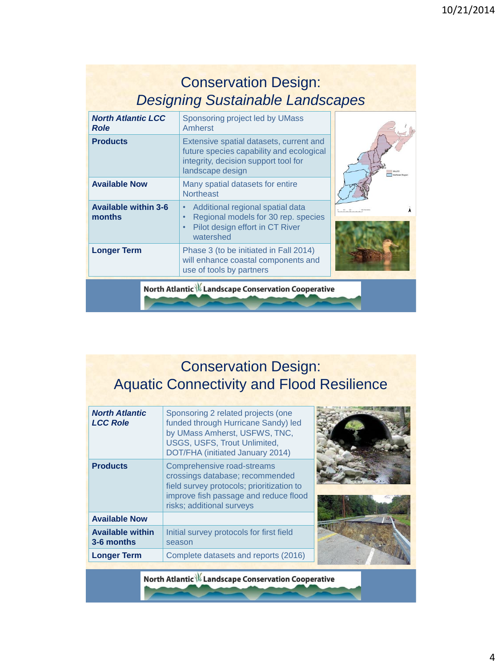|                                          | <b>Conservation Design:</b><br><b>Designing Sustainable Landscapes</b>                                                                          |                  |
|------------------------------------------|-------------------------------------------------------------------------------------------------------------------------------------------------|------------------|
| <b>North Atlantic LCC</b><br><b>Role</b> | Sponsoring project led by UMass<br>Amherst                                                                                                      |                  |
| <b>Products</b>                          | Extensive spatial datasets, current and<br>future species capability and ecological<br>integrity, decision support tool for<br>landscape design | Northeast Region |
| <b>Available Now</b>                     | Many spatial datasets for entire<br><b>Northeast</b>                                                                                            |                  |
| <b>Available within 3-6</b><br>months    | Additional regional spatial data<br>$\bullet$<br>Regional models for 30 rep. species<br>Pilot design effort in CT River<br>watershed            |                  |
| <b>Longer Term</b>                       | Phase 3 (to be initiated in Fall 2014)<br>will enhance coastal components and<br>use of tools by partners                                       |                  |
|                                          | North Atlantic \// Landscape Conservation Cooperative                                                                                           |                  |

# Conservation Design: Aquatic Connectivity and Flood Resilience

| <b>North Atlantic</b><br><b>LCC Role</b> | Sponsoring 2 related projects (one<br>funded through Hurricane Sandy) led<br>by UMass Amherst, USFWS, TNC,<br>USGS, USFS, Trout Unlimited,                                                                           |  |
|------------------------------------------|----------------------------------------------------------------------------------------------------------------------------------------------------------------------------------------------------------------------|--|
| <b>Products</b>                          | DOT/FHA (initiated January 2014)<br>Comprehensive road-streams<br>crossings database; recommended<br>field survey protocols; prioritization to<br>improve fish passage and reduce flood<br>risks; additional surveys |  |
| <b>Available Now</b>                     |                                                                                                                                                                                                                      |  |
| <b>Available within</b><br>3-6 months    | Initial survey protocols for first field<br>season                                                                                                                                                                   |  |
| <b>Longer Term</b>                       | Complete datasets and reports (2016)                                                                                                                                                                                 |  |
|                                          |                                                                                                                                                                                                                      |  |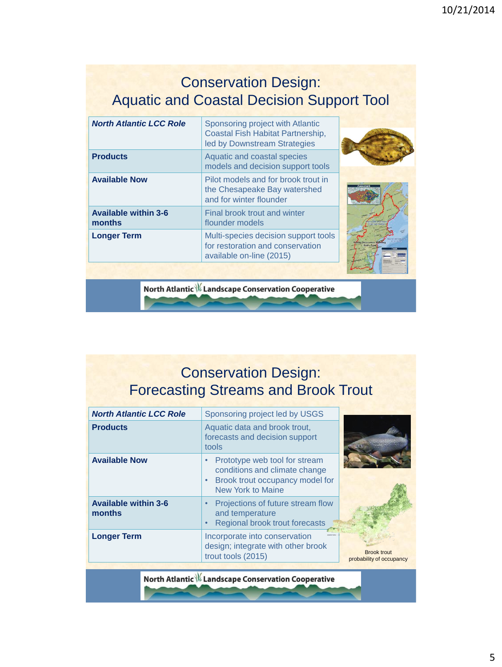#### Conservation Design: Aquatic and Coastal Decision Support Tool

| <b>North Atlantic LCC Role</b>        | Sponsoring project with Atlantic<br>Coastal Fish Habitat Partnership,<br>led by Downstream Strategies |  |
|---------------------------------------|-------------------------------------------------------------------------------------------------------|--|
| <b>Products</b>                       | Aquatic and coastal species<br>models and decision support tools                                      |  |
| <b>Available Now</b>                  | Pilot models and for brook trout in<br>the Chesapeake Bay watershed<br>and for winter flounder        |  |
| <b>Available within 3-6</b><br>months | Final brook trout and winter<br>flounder models                                                       |  |
| <b>Longer Term</b>                    | Multi-species decision support tools<br>for restoration and conservation<br>available on-line (2015)  |  |

North Atlantic \\/ Landscape Conservation Cooperative

# Conservation Design: Forecasting Streams and Brook Trout

| <b>Products</b>                                                 | Aquatic data and brook trout,<br>forecasts and decision support                                                        |
|-----------------------------------------------------------------|------------------------------------------------------------------------------------------------------------------------|
| tools                                                           |                                                                                                                        |
| <b>Available Now</b><br>٠<br>$\bullet$                          | Prototype web tool for stream<br>conditions and climate change<br>Brook trout occupancy model for<br>New York to Maine |
| <b>Available within 3-6</b><br>$\bullet$<br>months<br>$\bullet$ | Projections of future stream flow<br>and temperature<br>Regional brook trout forecasts                                 |
| <b>Longer Term</b><br>trout tools (2015)                        | Incorporate into conservation<br>design; integrate with other brook<br><b>Brook trout</b><br>probability of occupancy  |

North Atlantic \\/ Landscape Conservation Cooperative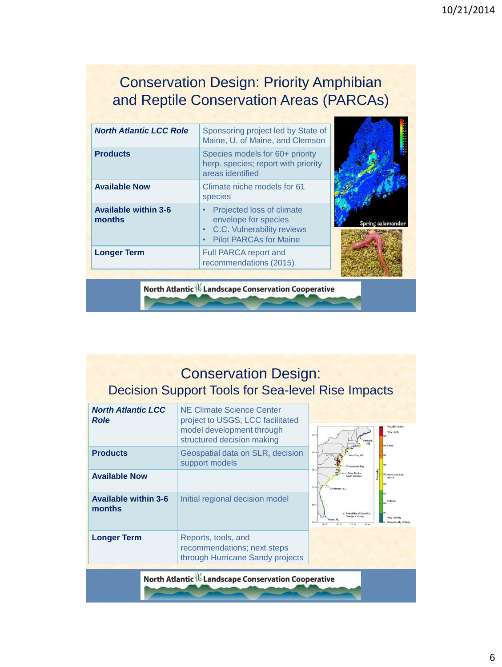#### Conservation Design: Priority Amphibian and Reptile Conservation Areas (PARCAs)

| <b>North Atlantic LCC Role</b>        | Sponsoring project led by State of<br>Maine, U. of Maine, and Clemson                                            |                   |
|---------------------------------------|------------------------------------------------------------------------------------------------------------------|-------------------|
| <b>Products</b>                       | Species models for 60+ priority<br>herp. species; report with priority<br>areas identified                       |                   |
| <b>Available Now</b>                  | Climate niche models for 61<br>species                                                                           |                   |
| <b>Available within 3-6</b><br>months | Projected loss of climate<br>envelope for species<br>C.C. Vulnerability reviews<br><b>Pilot PARCAs for Maine</b> | Spring salamander |
| <b>Longer Term</b>                    | Full PARCA report and<br>recommendations (2015)                                                                  |                   |

North Atlantic \\/ Landscape Conservation Cooperative

### Conservation Design: Decision Support Tools for Sea-level Rise Impacts

| <b>North Atlantic LCC</b><br><b>Role</b> | NE Climate Science Center<br>project to USGS; LCC facilitated<br>model development through<br>structured decision making | Virtually Certain<br>Very Likely<br>44°N<br>0,8 Likely                                                             |
|------------------------------------------|--------------------------------------------------------------------------------------------------------------------------|--------------------------------------------------------------------------------------------------------------------|
| <b>Products</b>                          | Geospatial data on SLR, decision<br>support models                                                                       | 40°N<br>Chesapeake Bay<br>36°N                                                                                     |
| <b>Available Now</b>                     |                                                                                                                          | plated<br><b>Outer Banks</b><br>0.5 About as Likely<br>orth Carolina<br>As Not<br>$32^{\circ}N$<br>Charleston, SC  |
| <b>Available within 3-6</b><br>months    | Initial regional decision model                                                                                          | Unlikely<br>$28^{\circ}N$<br>a) Probability of Shoreline<br>Very Unlikely<br>Expectionally Unlikel<br>68°W<br>アラリリ |
| <b>Longer Term</b>                       | Reports, tools, and<br>recommendations; next steps<br>through Hurricane Sandy projects                                   |                                                                                                                    |
|                                          | North Atlantic \% Landscape Conservation Cooperative                                                                     |                                                                                                                    |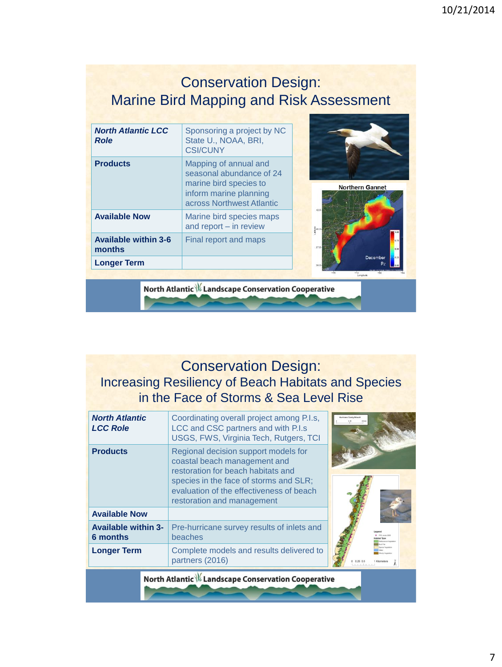#### Conservation Design: Marine Bird Mapping and Risk Assessment

| <b>North Atlantic LCC</b><br><b>Role</b> | Sponsoring a project by NC<br>State U., NOAA, BRI,<br><b>CSI/CUNY</b>                                                              |  |  |  |                   |                        |
|------------------------------------------|------------------------------------------------------------------------------------------------------------------------------------|--|--|--|-------------------|------------------------|
| <b>Products</b>                          | Mapping of annual and<br>seasonal abundance of 24<br>marine bird species to<br>inform marine planning<br>across Northwest Atlantic |  |  |  |                   | <b>Northern Gannet</b> |
| <b>Available Now</b>                     | Marine bird species maps<br>and report - in review                                                                                 |  |  |  |                   |                        |
| <b>Available within 3-6</b><br>months    | Final report and maps                                                                                                              |  |  |  |                   |                        |
| <b>Longer Term</b>                       |                                                                                                                                    |  |  |  | December<br>$p_z$ |                        |
|                                          |                                                                                                                                    |  |  |  |                   |                        |

North Atlantic \\/ Landscape Conservation Cooperative

#### Conservation Design: Increasing Resiliency of Beach Habitats and Species in the Face of Storms & Sea Level Rise

| <b>North Atlantic</b><br><b>LCC Role</b> | Coordinating overall project among P.I.s,<br>LCC and CSC partners and with P.I.s<br>USGS, FWS, Virginia Tech, Rutgers, TCI                                                                                                     |  |
|------------------------------------------|--------------------------------------------------------------------------------------------------------------------------------------------------------------------------------------------------------------------------------|--|
| <b>Products</b>                          | Regional decision support models for<br>coastal beach management and<br>restoration for beach habitats and<br>species in the face of storms and SLR;<br>evaluation of the effectiveness of beach<br>restoration and management |  |
| <b>Available Now</b>                     |                                                                                                                                                                                                                                |  |
| <b>Available within 3-</b><br>6 months   | Pre-hurricane survey results of inlets and<br>beaches                                                                                                                                                                          |  |
| <b>Longer Term</b>                       | Complete models and results delivered to<br>partners (2016)                                                                                                                                                                    |  |
|                                          | North Atlantic \// Landscape Conservation Cooperative                                                                                                                                                                          |  |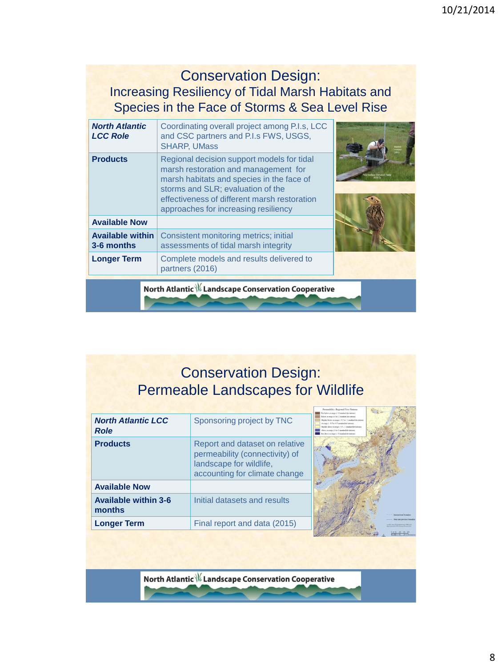#### Conservation Design: Increasing Resiliency of Tidal Marsh Habitats and Species in the Face of Storms & Sea Level Rise

| <b>North Atlantic</b><br><b>LCC Role</b> | Coordinating overall project among P.I.s, LCC<br>and CSC partners and P.I.s FWS, USGS,<br><b>SHARP, UMass</b>                                                                                                                                                |  |
|------------------------------------------|--------------------------------------------------------------------------------------------------------------------------------------------------------------------------------------------------------------------------------------------------------------|--|
| <b>Products</b>                          | Regional decision support models for tidal<br>marsh restoration and management for<br>marsh habitats and species in the face of<br>storms and SLR; evaluation of the<br>effectiveness of different marsh restoration<br>approaches for increasing resiliency |  |
| <b>Available Now</b>                     |                                                                                                                                                                                                                                                              |  |
| <b>Available within</b><br>3-6 months    | Consistent monitoring metrics; initial<br>assessments of tidal marsh integrity                                                                                                                                                                               |  |
| <b>Longer Term</b>                       | Complete models and results delivered to<br>partners (2016)                                                                                                                                                                                                  |  |
|                                          | North Atlantic \// Landscape Conservation Cooperative                                                                                                                                                                                                        |  |

## Conservation Design: Permeable Landscapes for Wildlife

| <b>North Atlantic LCC</b><br><b>Role</b><br><b>Products</b> | Sponsoring project by TNC<br>Report and dataset on relative<br>permeability (connectivity) of | Far below average yield standard deviations)<br>lekos premae (-1 to -2 monked deviations)<br>the ballots accessor (1.4) 5 to 11 monthed deviations)<br>page 1 at 5 in 6 5 minutes because to<br>this above pressure (11.5 - 1 standard deviations)<br>we another (1.8) 7 straightfulnitened<br>in above average ( >2 stordard deviations) |
|-------------------------------------------------------------|-----------------------------------------------------------------------------------------------|-------------------------------------------------------------------------------------------------------------------------------------------------------------------------------------------------------------------------------------------------------------------------------------------------------------------------------------------|
|                                                             | landscape for wildlife,<br>accounting for climate change                                      |                                                                                                                                                                                                                                                                                                                                           |
| <b>Available Now</b>                                        |                                                                                               |                                                                                                                                                                                                                                                                                                                                           |
| <b>Available within 3-6</b><br>months                       | Initial datasets and results                                                                  | <b>International houseker</b>                                                                                                                                                                                                                                                                                                             |
| <b>Longer Term</b>                                          | Final report and data (2015)                                                                  | lose and any isex boundar                                                                                                                                                                                                                                                                                                                 |
|                                                             |                                                                                               |                                                                                                                                                                                                                                                                                                                                           |

North Atlantic \\/ Landscape Conservation Cooperative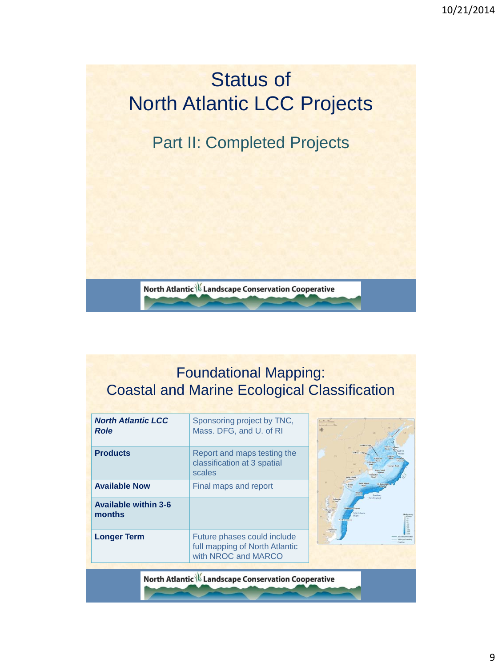

## Foundational Mapping: Coastal and Marine Ecological Classification

| <b>North Atlantic LCC</b><br><b>Role</b> | Sponsoring project by TNC,<br>Mass. DFG, and U. of RI                                |  |
|------------------------------------------|--------------------------------------------------------------------------------------|--|
| <b>Products</b>                          | Report and maps testing the<br>classification at 3 spatial<br>scales                 |  |
| <b>Available Now</b>                     | Final maps and report                                                                |  |
| <b>Available within 3-6</b><br>months    |                                                                                      |  |
| <b>Longer Term</b>                       | Future phases could include<br>full mapping of North Atlantic<br>with NROC and MARCO |  |
|                                          | <b>North Atlantic \// Landscape Conservation Cooperative</b>                         |  |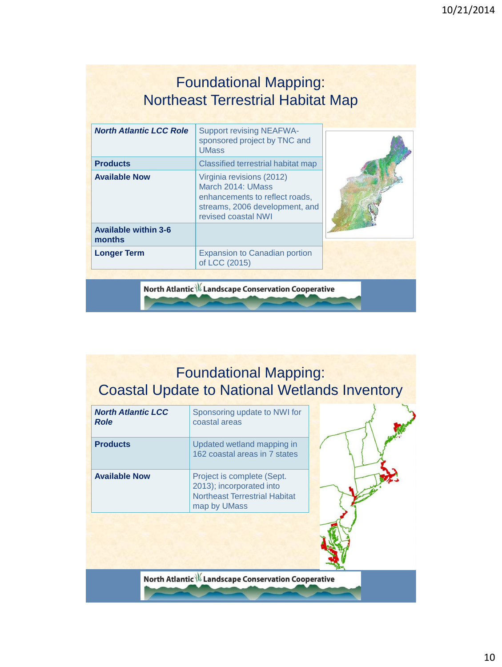#### Foundational Mapping: Northeast Terrestrial Habitat Map

| <b>North Atlantic LCC Role</b>        | <b>Support revising NEAFWA-</b><br>sponsored project by TNC and<br><b>UMass</b>                                                           |  |
|---------------------------------------|-------------------------------------------------------------------------------------------------------------------------------------------|--|
| <b>Products</b>                       | Classified terrestrial habitat map                                                                                                        |  |
| <b>Available Now</b>                  | Virginia revisions (2012)<br>March 2014: UMass<br>enhancements to reflect roads,<br>streams, 2006 development, and<br>revised coastal NWI |  |
| <b>Available within 3-6</b><br>months |                                                                                                                                           |  |
| <b>Longer Term</b>                    | <b>Expansion to Canadian portion</b><br>of LCC (2015)                                                                                     |  |
|                                       |                                                                                                                                           |  |

North Atlantic \\/ Landscape Conservation Cooperative

# Foundational Mapping: Coastal Update to National Wetlands Inventory

| <b>North Atlantic LCC</b><br><b>Role</b> | Sponsoring update to NWI for<br>coastal areas                                                                  |  |
|------------------------------------------|----------------------------------------------------------------------------------------------------------------|--|
| <b>Products</b>                          | Updated wetland mapping in<br>162 coastal areas in 7 states                                                    |  |
| <b>Available Now</b>                     | Project is complete (Sept.<br>2013); incorporated into<br><b>Northeast Terrestrial Habitat</b><br>map by UMass |  |
|                                          |                                                                                                                |  |
|                                          | North Atlantic \// Landscape Conservation Cooperative                                                          |  |